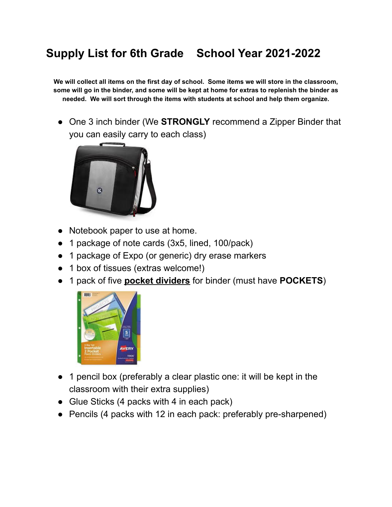## **Supply List for 6th Grade School Year 2021-2022**

We will collect all items on the first day of school. Some items we will store in the classroom, some will go in the binder, and some will be kept at home for extras to replenish the binder as **needed. We will sort through the items with students at school and help them organize.**

● One 3 inch binder (We **STRONGLY** recommend a Zipper Binder that you can easily carry to each class)



- Notebook paper to use at home.
- 1 package of note cards (3x5, lined, 100/pack)
- 1 package of Expo (or generic) dry erase markers
- 1 box of tissues (extras welcome!)
- 1 pack of five **pocket dividers** for binder (must have **POCKETS**)



- 1 pencil box (preferably a clear plastic one: it will be kept in the classroom with their extra supplies)
- Glue Sticks (4 packs with 4 in each pack)
- Pencils (4 packs with 12 in each pack: preferably pre-sharpened)